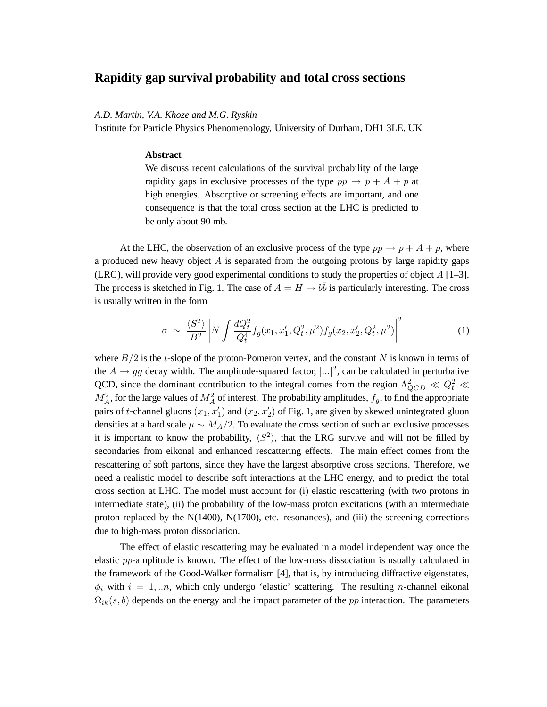## **Rapidity gap survival probability and total cross sections**

*A.D. Martin, V.A. Khoze and M.G. Ryskin*

Institute for Particle Physics Phenomenology, University of Durham, DH1 3LE, UK

## **Abstract**

We discuss recent calculations of the survival probability of the large rapidity gaps in exclusive processes of the type  $pp \rightarrow p + A + p$  at high energies. Absorptive or screening effects are important, and one consequence is that the total cross section at the LHC is predicted to be only about 90 mb.

At the LHC, the observation of an exclusive process of the type  $pp \rightarrow p + A + p$ , where a produced new heavy object  $A$  is separated from the outgoing protons by large rapidity gaps (LRG), will provide very good experimental conditions to study the properties of object  $A$  [1–3]. The process is sketched in Fig. 1. The case of  $A = H \rightarrow b\bar{b}$  is particularly interesting. The cross is usually written in the form

$$
\sigma \sim \frac{\langle S^2 \rangle}{B^2} \left| N \int \frac{dQ_t^2}{Q_t^4} f_g(x_1, x_1', Q_t^2, \mu^2) f_g(x_2, x_2', Q_t^2, \mu^2) \right|^2 \tag{1}
$$

where  $B/2$  is the t-slope of the proton-Pomeron vertex, and the constant N is known in terms of the  $A \rightarrow gg$  decay width. The amplitude-squared factor,  $|...|^2$ , can be calculated in perturbative QCD, since the dominant contribution to the integral comes from the region  $\Lambda_{QCD}^2 \ll Q_t^2 \ll$  $M_A^2$ , for the large values of  $M_A^2$  of interest. The probability amplitudes,  $f_g$ , to find the appropriate pairs of t-channel gluons  $(x_1, x'_1)$  and  $(x_2, x'_2)$  of Fig. 1, are given by skewed unintegrated gluon densities at a hard scale  $\mu \sim M_A/2$ . To evaluate the cross section of such an exclusive processes it is important to know the probability,  $\langle S^2 \rangle$ , that the LRG survive and will not be filled by secondaries from eikonal and enhanced rescattering effects. The main effect comes from the rescattering of soft partons, since they have the largest absorptive cross sections. Therefore, we need a realistic model to describe soft interactions at the LHC energy, and to predict the total cross section at LHC. The model must account for (i) elastic rescattering (with two protons in intermediate state), (ii) the probability of the low-mass proton excitations (with an intermediate proton replaced by the  $N(1400)$ ,  $N(1700)$ , etc. resonances), and (iii) the screening corrections due to high-mass proton dissociation.

The effect of elastic rescattering may be evaluated in a model independent way once the elastic pp-amplitude is known. The effect of the low-mass dissociation is usually calculated in the framework of the Good-Walker formalism [4], that is, by introducing diffractive eigenstates,  $\phi_i$  with  $i = 1, \ldots n$ , which only undergo 'elastic' scattering. The resulting *n*-channel eikonal  $\Omega_{ik}(s,b)$  depends on the energy and the impact parameter of the pp interaction. The parameters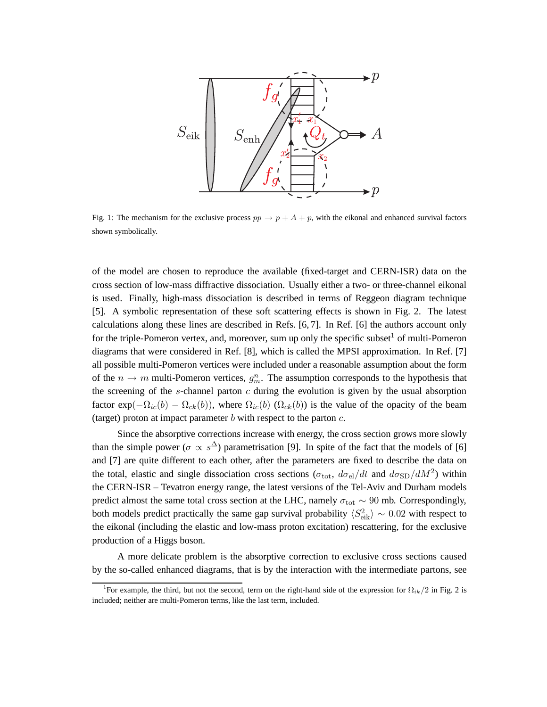

Fig. 1: The mechanism for the exclusive process  $pp \rightarrow p + A + p$ , with the eikonal and enhanced survival factors shown symbolically.

of the model are chosen to reproduce the available (fixed-target and CERN-ISR) data on the cross section of low-mass diffractive dissociation. Usually either a two- or three-channel eikonal is used. Finally, high-mass dissociation is described in terms of Reggeon diagram technique [5]. A symbolic representation of these soft scattering effects is shown in Fig. 2. The latest calculations along these lines are described in Refs. [6, 7]. In Ref. [6] the authors account only for the triple-Pomeron vertex, and, moreover, sum up only the specific subset  $\frac{1}{1}$  of multi-Pomeron diagrams that were considered in Ref. [8], which is called the MPSI approximation. In Ref. [7] all possible multi-Pomeron vertices were included under a reasonable assumption about the form of the  $n \to m$  multi-Pomeron vertices,  $g_m^n$ . The assumption corresponds to the hypothesis that the screening of the  $s$ -channel parton  $c$  during the evolution is given by the usual absorption factor  $exp(-\Omega_{ic}(b) - \Omega_{ck}(b))$ , where  $\Omega_{ic}(b)$  ( $\Omega_{ck}(b)$ ) is the value of the opacity of the beam (target) proton at impact parameter  $b$  with respect to the parton  $c$ .

Since the absorptive corrections increase with energy, the cross section grows more slowly than the simple power ( $\sigma \propto s^{\Delta}$ ) parametrisation [9]. In spite of the fact that the models of [6] and [7] are quite different to each other, after the parameters are fixed to describe the data on the total, elastic and single dissociation cross sections ( $\sigma_{\text{tot}}$ ,  $d\sigma_{\text{el}}/dt$  and  $d\sigma_{\text{SD}}/dM^2$ ) within the CERN-ISR – Tevatron energy range, the latest versions of the Tel-Aviv and Durham models predict almost the same total cross section at the LHC, namely  $\sigma_{\text{tot}} \sim 90$  mb. Correspondingly, both models predict practically the same gap survival probability  $\langle S_{\text{eik}}^2 \rangle \sim 0.02$  with respect to the eikonal (including the elastic and low-mass proton excitation) rescattering, for the exclusive production of a Higgs boson.

A more delicate problem is the absorptive correction to exclusive cross sections caused by the so-called enhanced diagrams, that is by the interaction with the intermediate partons, see

<sup>&</sup>lt;sup>1</sup>For example, the third, but not the second, term on the right-hand side of the expression for  $\Omega_{ik}/2$  in Fig. 2 is included; neither are multi-Pomeron terms, like the last term, included.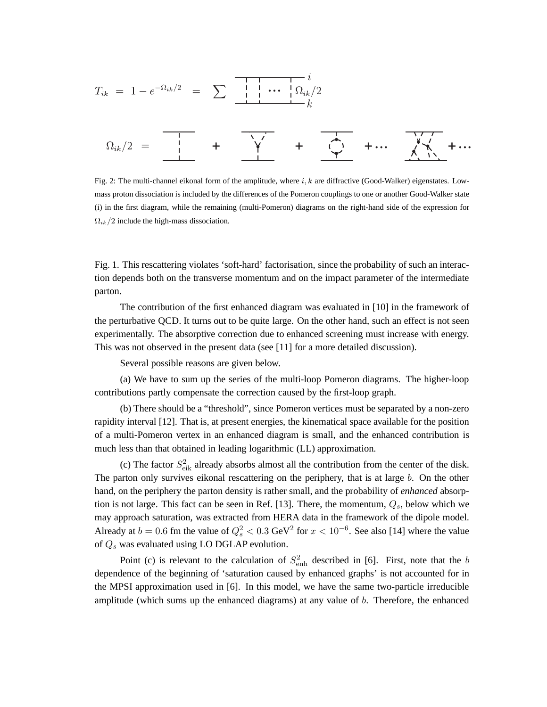... + + +... +...

Fig. 2: The multi-channel eikonal form of the amplitude, where  $i, k$  are diffractive (Good-Walker) eigenstates. Lowmass proton dissociation is included by the differences of the Pomeron couplings to one or another Good-Walker state (i) in the first diagram, while the remaining (multi-Pomeron) diagrams on the right-hand side of the expression for  $\Omega_{ik}/2$  include the high-mass dissociation.

Fig. 1. This rescattering violates 'soft-hard' factorisation, since the probability of such an interaction depends both on the transverse momentum and on the impact parameter of the intermediate parton.

The contribution of the first enhanced diagram was evaluated in [10] in the framework of the perturbative QCD. It turns out to be quite large. On the other hand, such an effect is not seen experimentally. The absorptive correction due to enhanced screening must increase with energy. This was not observed in the present data (see [11] for a more detailed discussion).

Several possible reasons are given below.

(a) We have to sum up the series of the multi-loop Pomeron diagrams. The higher-loop contributions partly compensate the correction caused by the first-loop graph.

(b) There should be a "threshold", since Pomeron vertices must be separated by a non-zero rapidity interval [12]. That is, at present energies, the kinematical space available for the position of a multi-Pomeron vertex in an enhanced diagram is small, and the enhanced contribution is much less than that obtained in leading logarithmic (LL) approximation.

(c) The factor  $S_{\text{eik}}^2$  already absorbs almost all the contribution from the center of the disk. The parton only survives eikonal rescattering on the periphery, that is at large  $b$ . On the other hand, on the periphery the parton density is rather small, and the probability of *enhanced* absorption is not large. This fact can be seen in Ref. [13]. There, the momentum,  $Q_s$ , below which we may approach saturation, was extracted from HERA data in the framework of the dipole model. Already at  $b = 0.6$  fm the value of  $Q_s^2 < 0.3$  GeV<sup>2</sup> for  $x < 10^{-6}$ . See also [14] where the value of  $Q_s$  was evaluated using LO DGLAP evolution.

Point (c) is relevant to the calculation of  $S_{\text{enh}}^2$  described in [6]. First, note that the b dependence of the beginning of 'saturation caused by enhanced graphs' is not accounted for in the MPSI approximation used in [6]. In this model, we have the same two-particle irreducible amplitude (which sums up the enhanced diagrams) at any value of  $b$ . Therefore, the enhanced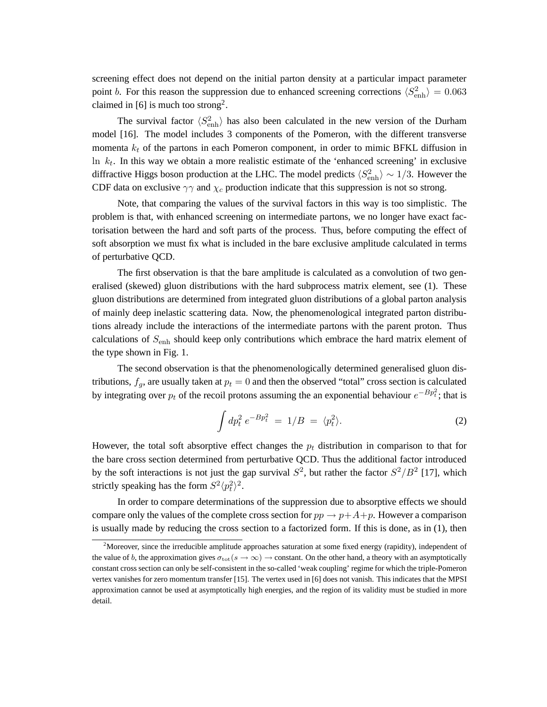screening effect does not depend on the initial parton density at a particular impact parameter point *b*. For this reason the suppression due to enhanced screening corrections  $\langle S_{\text{enh}}^2 \rangle = 0.063$ claimed in [6] is much too strong<sup>2</sup>.

The survival factor  $\langle S_{\text{enh}}^2 \rangle$  has also been calculated in the new version of the Durham model [16]. The model includes 3 components of the Pomeron, with the different transverse momenta  $k_t$  of the partons in each Pomeron component, in order to mimic BFKL diffusion in In  $k_t$ . In this way we obtain a more realistic estimate of the 'enhanced screening' in exclusive diffractive Higgs boson production at the LHC. The model predicts  $\langle S_{\text{enh}}^2 \rangle \sim 1/3$ . However the CDF data on exclusive  $\gamma\gamma$  and  $\chi_c$  production indicate that this suppression is not so strong.

Note, that comparing the values of the survival factors in this way is too simplistic. The problem is that, with enhanced screening on intermediate partons, we no longer have exact factorisation between the hard and soft parts of the process. Thus, before computing the effect of soft absorption we must fix what is included in the bare exclusive amplitude calculated in terms of perturbative QCD.

The first observation is that the bare amplitude is calculated as a convolution of two generalised (skewed) gluon distributions with the hard subprocess matrix element, see (1). These gluon distributions are determined from integrated gluon distributions of a global parton analysis of mainly deep inelastic scattering data. Now, the phenomenological integrated parton distributions already include the interactions of the intermediate partons with the parent proton. Thus calculations of  $S_{\text{enh}}$  should keep only contributions which embrace the hard matrix element of the type shown in Fig. 1.

The second observation is that the phenomenologically determined generalised gluon distributions,  $f_g$ , are usually taken at  $p_t = 0$  and then the observed "total" cross section is calculated by integrating over  $p_t$  of the recoil protons assuming the an exponential behaviour  $e^{-Bp_t^2}$ ; that is

$$
\int dp_t^2 e^{-Bp_t^2} = 1/B = \langle p_t^2 \rangle. \tag{2}
$$

However, the total soft absorptive effect changes the  $p_t$  distribution in comparison to that for the bare cross section determined from perturbative QCD. Thus the additional factor introduced by the soft interactions is not just the gap survival  $S^2$ , but rather the factor  $S^2/B^2$  [17], which strictly speaking has the form  $S^2 \langle p_t^2 \rangle$  $\binom{2}{t}$ <sup>2</sup>.

In order to compare determinations of the suppression due to absorptive effects we should compare only the values of the complete cross section for  $pp \rightarrow p+A+p$ . However a comparison is usually made by reducing the cross section to a factorized form. If this is done, as in (1), then

<sup>&</sup>lt;sup>2</sup>Moreover, since the irreducible amplitude approaches saturation at some fixed energy (rapidity), independent of the value of b, the approximation gives  $\sigma_{\text{tot}}(s \to \infty) \to \text{constant}$ . On the other hand, a theory with an asymptotically constant cross section can only be self-consistent in the so-called 'weak coupling' regime for which the triple-Pomeron vertex vanishes for zero momentum transfer [15]. The vertex used in [6] does not vanish. This indicates that the MPSI approximation cannot be used at asymptotically high energies, and the region of its validity must be studied in more detail.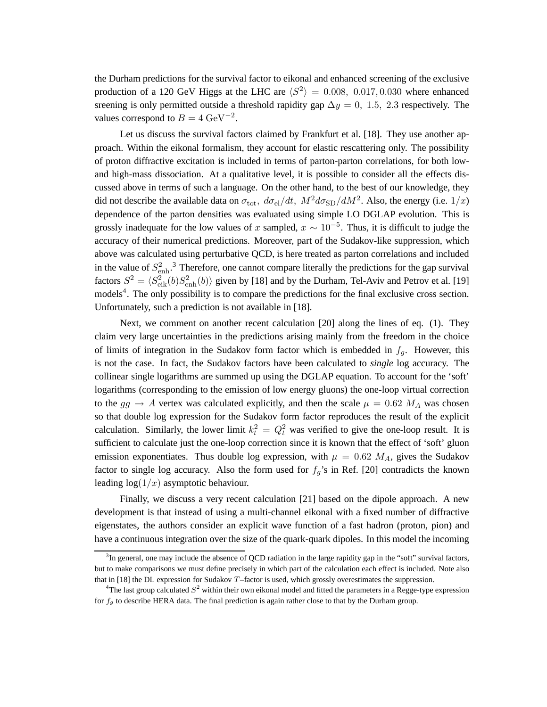the Durham predictions for the survival factor to eikonal and enhanced screening of the exclusive production of a 120 GeV Higgs at the LHC are  $\langle S^2 \rangle = 0.008, 0.017, 0.030$  where enhanced sreening is only permitted outside a threshold rapidity gap  $\Delta y = 0$ , 1.5, 2.3 respectively. The values correspond to  $B = 4 \text{ GeV}^{-2}$ .

Let us discuss the survival factors claimed by Frankfurt et al. [18]. They use another approach. Within the eikonal formalism, they account for elastic rescattering only. The possibility of proton diffractive excitation is included in terms of parton-parton correlations, for both lowand high-mass dissociation. At a qualitative level, it is possible to consider all the effects discussed above in terms of such a language. On the other hand, to the best of our knowledge, they did not describe the available data on  $\sigma_{\rm tot}$ ,  $d\sigma_{\rm el}/dt$ ,  $M^2d\sigma_{\rm SD}/dM^2$ . Also, the energy (i.e.  $1/x$ ) dependence of the parton densities was evaluated using simple LO DGLAP evolution. This is grossly inadequate for the low values of x sampled,  $x \sim 10^{-5}$ . Thus, it is difficult to judge the accuracy of their numerical predictions. Moreover, part of the Sudakov-like suppression, which above was calculated using perturbative QCD, is here treated as parton correlations and included in the value of  $S_{\text{enh}}^2$ .<sup>3</sup> Therefore, one cannot compare literally the predictions for the gap survival factors  $S^2 = \langle S_{\text{eik}}^2(b)S_{\text{enh}}^2(b)\rangle$  given by [18] and by the Durham, Tel-Aviv and Petrov et al. [19] models<sup>4</sup>. The only possibility is to compare the predictions for the final exclusive cross section. Unfortunately, such a prediction is not available in [18].

Next, we comment on another recent calculation [20] along the lines of eq. (1). They claim very large uncertainties in the predictions arising mainly from the freedom in the choice of limits of integration in the Sudakov form factor which is embedded in  $f<sub>g</sub>$ . However, this is not the case. In fact, the Sudakov factors have been calculated to *single* log accuracy. The collinear single logarithms are summed up using the DGLAP equation. To account for the 'soft' logarithms (corresponding to the emission of low energy gluons) the one-loop virtual correction to the  $gg \rightarrow A$  vertex was calculated explicitly, and then the scale  $\mu = 0.62$  M<sub>A</sub> was chosen so that double log expression for the Sudakov form factor reproduces the result of the explicit calculation. Similarly, the lower limit  $k_t^2 = Q_t^2$  was verified to give the one-loop result. It is sufficient to calculate just the one-loop correction since it is known that the effect of 'soft' gluon emission exponentiates. Thus double log expression, with  $\mu = 0.62$  M<sub>A</sub>, gives the Sudakov factor to single log accuracy. Also the form used for  $f_g$ 's in Ref. [20] contradicts the known leading  $log(1/x)$  asymptotic behaviour.

Finally, we discuss a very recent calculation [21] based on the dipole approach. A new development is that instead of using a multi-channel eikonal with a fixed number of diffractive eigenstates, the authors consider an explicit wave function of a fast hadron (proton, pion) and have a continuous integration over the size of the quark-quark dipoles. In this model the incoming

<sup>&</sup>lt;sup>3</sup>In general, one may include the absence of QCD radiation in the large rapidity gap in the "soft" survival factors, but to make comparisons we must define precisely in which part of the calculation each effect is included. Note also that in [18] the DL expression for Sudakov T–factor is used, which grossly overestimates the suppression.

<sup>&</sup>lt;sup>4</sup>The last group calculated  $S^2$  within their own eikonal model and fitted the parameters in a Regge-type expression for  $f_g$  to describe HERA data. The final prediction is again rather close to that by the Durham group.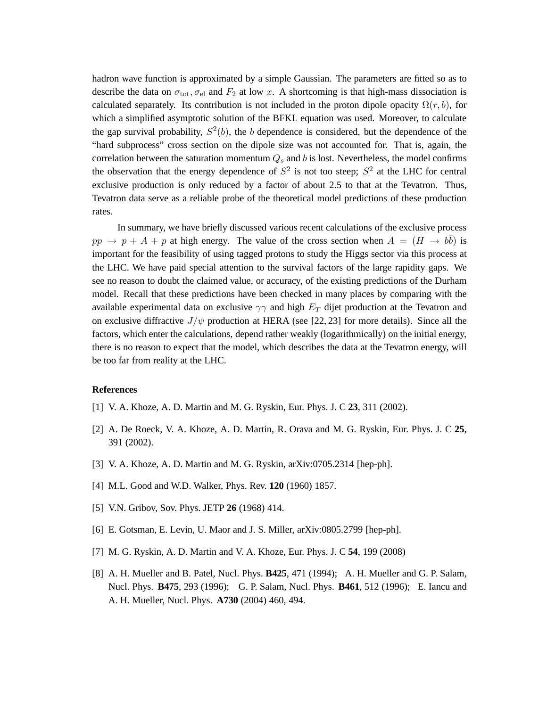hadron wave function is approximated by a simple Gaussian. The parameters are fitted so as to describe the data on  $\sigma_{\text{tot}}$ ,  $\sigma_{\text{el}}$  and  $F_2$  at low x. A shortcoming is that high-mass dissociation is calculated separately. Its contribution is not included in the proton dipole opacity  $\Omega(r, b)$ , for which a simplified asymptotic solution of the BFKL equation was used. Moreover, to calculate the gap survival probability,  $S^2(b)$ , the b dependence is considered, but the dependence of the "hard subprocess" cross section on the dipole size was not accounted for. That is, again, the correlation between the saturation momentum  $Q_s$  and b is lost. Nevertheless, the model confirms the observation that the energy dependence of  $S^2$  is not too steep;  $S^2$  at the LHC for central exclusive production is only reduced by a factor of about 2.5 to that at the Tevatron. Thus, Tevatron data serve as a reliable probe of the theoretical model predictions of these production rates.

In summary, we have briefly discussed various recent calculations of the exclusive process  $pp \rightarrow p + A + p$  at high energy. The value of the cross section when  $A = (H \rightarrow b\bar{b})$  is important for the feasibility of using tagged protons to study the Higgs sector via this process at the LHC. We have paid special attention to the survival factors of the large rapidity gaps. We see no reason to doubt the claimed value, or accuracy, of the existing predictions of the Durham model. Recall that these predictions have been checked in many places by comparing with the available experimental data on exclusive  $\gamma\gamma$  and high  $E_T$  dijet production at the Tevatron and on exclusive diffractive  $J/\psi$  production at HERA (see [22, 23] for more details). Since all the factors, which enter the calculations, depend rather weakly (logarithmically) on the initial energy, there is no reason to expect that the model, which describes the data at the Tevatron energy, will be too far from reality at the LHC.

## **References**

- [1] V. A. Khoze, A. D. Martin and M. G. Ryskin, Eur. Phys. J. C **23**, 311 (2002).
- [2] A. De Roeck, V. A. Khoze, A. D. Martin, R. Orava and M. G. Ryskin, Eur. Phys. J. C **25**, 391 (2002).
- [3] V. A. Khoze, A. D. Martin and M. G. Ryskin, arXiv:0705.2314 [hep-ph].
- [4] M.L. Good and W.D. Walker, Phys. Rev. **120** (1960) 1857.
- [5] V.N. Gribov, Sov. Phys. JETP **26** (1968) 414.
- [6] E. Gotsman, E. Levin, U. Maor and J. S. Miller, arXiv:0805.2799 [hep-ph].
- [7] M. G. Ryskin, A. D. Martin and V. A. Khoze, Eur. Phys. J. C **54**, 199 (2008)
- [8] A. H. Mueller and B. Patel, Nucl. Phys. **B425**, 471 (1994); A. H. Mueller and G. P. Salam, Nucl. Phys. **B475**, 293 (1996); G. P. Salam, Nucl. Phys. **B461**, 512 (1996); E. Iancu and A. H. Mueller, Nucl. Phys. **A730** (2004) 460, 494.